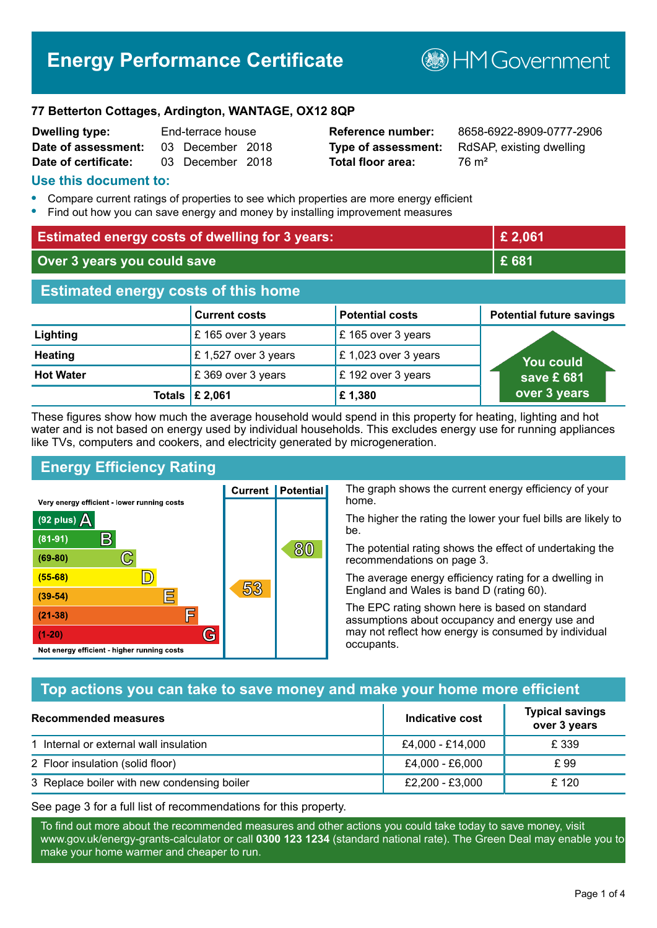# **Energy Performance Certificate**

**B**HM Government

#### **77 Betterton Cottages, Ardington, WANTAGE, OX12 8QP**

| <b>Dwelling type:</b> | End-terrace house |  |
|-----------------------|-------------------|--|
| Date of assessment:   | 03 December 2018  |  |
| Date of certificate:  | 03 December 2018  |  |

**Total floor area:** 76 m<sup>2</sup>

**Reference number:** 8658-6922-8909-0777-2906 **Type of assessment:** RdSAP, existing dwelling

#### **Use this document to:**

- **•** Compare current ratings of properties to see which properties are more energy efficient
- **•** Find out how you can save energy and money by installing improvement measures

| <b>Estimated energy costs of dwelling for 3 years:</b> |                           | £ 2,061                |                                 |
|--------------------------------------------------------|---------------------------|------------------------|---------------------------------|
| Over 3 years you could save                            |                           | £681                   |                                 |
| <b>Estimated energy costs of this home</b>             |                           |                        |                                 |
|                                                        | <b>Current costs</b>      | <b>Potential costs</b> | <b>Potential future savings</b> |
| Lighting                                               | £ 165 over 3 years        | £165 over 3 years      |                                 |
| <b>Heating</b>                                         | £1,527 over 3 years       | £1,023 over 3 years    | You could                       |
| <b>Hot Water</b>                                       | £369 over 3 years         | £192 over 3 years      | save £681                       |
|                                                        | Totals $\mathsf{E}$ 2,061 | £1,380                 | over 3 years                    |

These figures show how much the average household would spend in this property for heating, lighting and hot water and is not based on energy used by individual households. This excludes energy use for running appliances like TVs, computers and cookers, and electricity generated by microgeneration.

**Current | Potential** 

53

## **Energy Efficiency Rating**

 $\mathbb{C}$ 

 $\mathbb{D}$ 

巨

庐

G

Very energy efficient - lower running costs

 $\mathsf{R}% _{T}$ 

Not energy efficient - higher running costs

 $(92$  plus)

 $(81 - 91)$ 

 $(69 - 80)$ 

 $(55-68)$ 

 $(39 - 54)$ 

 $(21-38)$ 

 $(1-20)$ 

- 70

The graph shows the current energy efficiency of your home.

The higher the rating the lower your fuel bills are likely to be.

The potential rating shows the effect of undertaking the recommendations on page 3.

The average energy efficiency rating for a dwelling in England and Wales is band D (rating 60).

The EPC rating shown here is based on standard assumptions about occupancy and energy use and may not reflect how energy is consumed by individual occupants.

### **Top actions you can take to save money and make your home more efficient**

80

| Recommended measures                        | Indicative cost  | <b>Typical savings</b><br>over 3 years |
|---------------------------------------------|------------------|----------------------------------------|
| 1 Internal or external wall insulation      | £4,000 - £14,000 | £ 339                                  |
| 2 Floor insulation (solid floor)            | £4,000 - £6,000  | £ 99                                   |
| 3 Replace boiler with new condensing boiler | £2,200 - £3,000  | £ 120                                  |

See page 3 for a full list of recommendations for this property.

To find out more about the recommended measures and other actions you could take today to save money, visit www.gov.uk/energy-grants-calculator or call **0300 123 1234** (standard national rate). The Green Deal may enable you to make your home warmer and cheaper to run.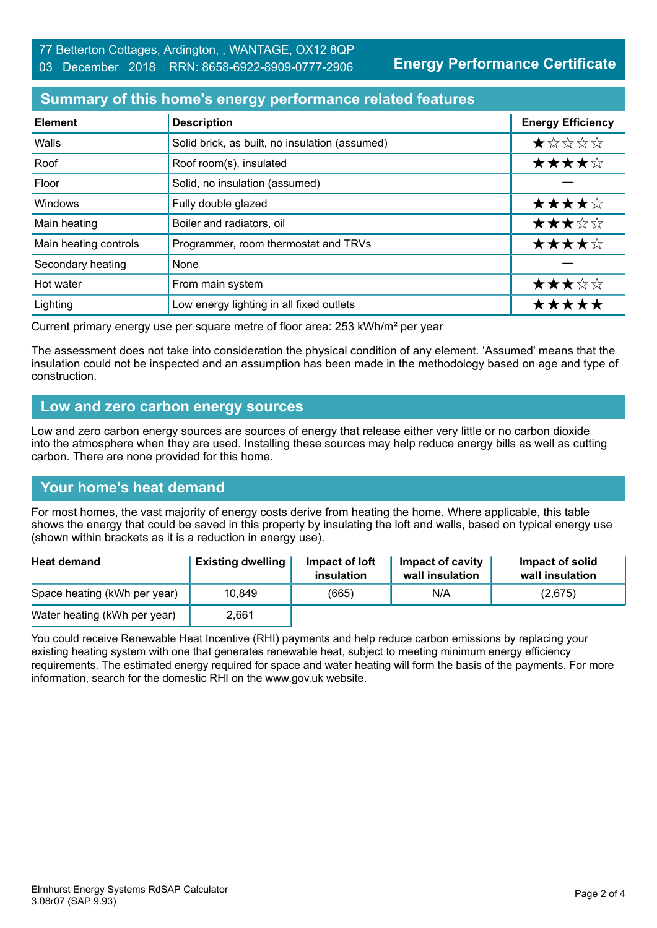**Energy Performance Certificate**

#### **Summary of this home's energy performance related features**

| <b>Element</b>        | <b>Description</b>                             | <b>Energy Efficiency</b> |
|-----------------------|------------------------------------------------|--------------------------|
| Walls                 | Solid brick, as built, no insulation (assumed) | *****                    |
| Roof                  | Roof room(s), insulated                        | ★★★★☆                    |
| Floor                 | Solid, no insulation (assumed)                 |                          |
| Windows               | Fully double glazed                            | ★★★★☆                    |
| Main heating          | Boiler and radiators, oil                      | ★★★☆☆                    |
| Main heating controls | Programmer, room thermostat and TRVs           | ★★★★☆                    |
| Secondary heating     | None                                           |                          |
| Hot water             | From main system                               | ★★★☆☆                    |
| Lighting              | Low energy lighting in all fixed outlets       | *****                    |

Current primary energy use per square metre of floor area: 253 kWh/m² per year

The assessment does not take into consideration the physical condition of any element. 'Assumed' means that the insulation could not be inspected and an assumption has been made in the methodology based on age and type of construction.

#### **Low and zero carbon energy sources**

Low and zero carbon energy sources are sources of energy that release either very little or no carbon dioxide into the atmosphere when they are used. Installing these sources may help reduce energy bills as well as cutting carbon. There are none provided for this home.

#### **Your home's heat demand**

For most homes, the vast majority of energy costs derive from heating the home. Where applicable, this table shows the energy that could be saved in this property by insulating the loft and walls, based on typical energy use (shown within brackets as it is a reduction in energy use).

| <b>Heat demand</b>           | <b>Existing dwelling</b> | Impact of loft<br>insulation | Impact of cavity<br>wall insulation | Impact of solid<br>wall insulation |
|------------------------------|--------------------------|------------------------------|-------------------------------------|------------------------------------|
| Space heating (kWh per year) | 10,849                   | (665)                        | N/A                                 | (2,675)                            |
| Water heating (kWh per year) | 2,661                    |                              |                                     |                                    |

You could receive Renewable Heat Incentive (RHI) payments and help reduce carbon emissions by replacing your existing heating system with one that generates renewable heat, subject to meeting minimum energy efficiency requirements. The estimated energy required for space and water heating will form the basis of the payments. For more information, search for the domestic RHI on the www.gov.uk website.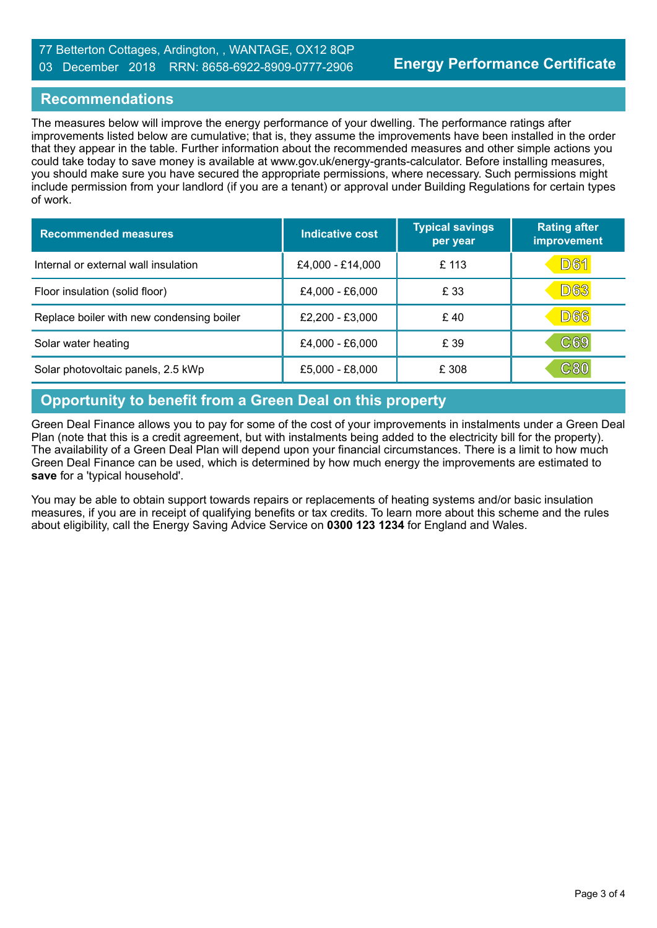#### **Recommendations**

The measures below will improve the energy performance of your dwelling. The performance ratings after improvements listed below are cumulative; that is, they assume the improvements have been installed in the order that they appear in the table. Further information about the recommended measures and other simple actions you could take today to save money is available at www.gov.uk/energy-grants-calculator. Before installing measures, you should make sure you have secured the appropriate permissions, where necessary. Such permissions might include permission from your landlord (if you are a tenant) or approval under Building Regulations for certain types of work.

| <b>Recommended measures</b>               | Indicative cost  | <b>Typical savings</b><br>per year | <b>Rating after</b><br>improvement |
|-------------------------------------------|------------------|------------------------------------|------------------------------------|
| Internal or external wall insulation      | £4,000 - £14,000 | £ 113                              | <u>D61</u>                         |
| Floor insulation (solid floor)            | £4,000 - £6,000  | £ 33                               | D63                                |
| Replace boiler with new condensing boiler | £2,200 - £3,000  | £40                                | <b>D66</b>                         |
| Solar water heating                       | £4,000 - £6,000  | £ 39                               | $\mathbb{C}69$                     |
| Solar photovoltaic panels, 2.5 kWp        | £5,000 - £8,000  | £ 308                              | C8(                                |

# **Opportunity to benefit from a Green Deal on this property**

Green Deal Finance allows you to pay for some of the cost of your improvements in instalments under a Green Deal Plan (note that this is a credit agreement, but with instalments being added to the electricity bill for the property). The availability of a Green Deal Plan will depend upon your financial circumstances. There is a limit to how much Green Deal Finance can be used, which is determined by how much energy the improvements are estimated to **save** for a 'typical household'.

You may be able to obtain support towards repairs or replacements of heating systems and/or basic insulation measures, if you are in receipt of qualifying benefits or tax credits. To learn more about this scheme and the rules about eligibility, call the Energy Saving Advice Service on **0300 123 1234** for England and Wales.